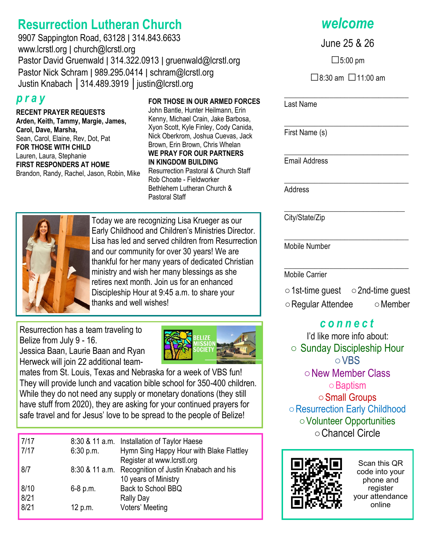# **Resurrection Lutheran Church**

9907 Sappington Road, 63128 ǀ 314.843.6633 www.lcrstl.org ǀ church@lcrstl.org Pastor David Gruenwald | 314.322.0913 | gruenwald@lcrstl.org Pastor Nick Schram | 989.295.0414 | schram@lcrstl.org Justin Knabach │314.489.3919 │justin@lcrstl.org

## *p r a y*

**RECENT PRAYER REQUESTS Arden, Keith, Tammy, Margie, James, Carol, Dave, Marsha,**  Sean, Carol, Elaine, Rev, Dot, Pat **FOR THOSE WITH CHILD** Lauren, Laura, Stephanie **FIRST RESPONDERS AT HOME**  Brandon, Randy, Rachel, Jason, Robin, Mike

#### **FOR THOSE IN OUR ARMED FORCES**

John Bantle, Hunter Heilmann, Erin Kenny, Michael Crain, Jake Barbosa, Xyon Scott, Kyle Finley, Cody Canida, Nick Oberkrom, Joshua Cuevas, Jack Brown, Erin Brown, Chris Whelan **WE PRAY FOR OUR PARTNERS IN KINGDOM BUILDING** Resurrection Pastoral & Church Staff

Rob Choate - Fieldworker Bethlehem Lutheran Church & Pastoral Staff



Today we are recognizing Lisa Krueger as our Early Childhood and Children's Ministries Director. Lisa has led and served children from Resurrection and our community for over 30 years! We are thankful for her many years of dedicated Christian ministry and wish her many blessings as she retires next month. Join us for an enhanced Discipleship Hour at 9:45 a.m. to share your thanks and well wishes!

Resurrection has a team traveling to Belize from July 9 - 16. Jessica Baan, Laurie Baan and Ryan Herweck will join 22 additional team-



mates from St. Louis, Texas and Nebraska for a week of VBS fun! They will provide lunch and vacation bible school for 350-400 children. While they do not need any supply or monetary donations (they still have stuff from 2020), they are asking for your continued prayers for safe travel and for Jesus' love to be spread to the people of Belize!

| 7/17 |           | 8:30 & 11 a.m. Installation of Taylor Haese          |
|------|-----------|------------------------------------------------------|
| 7/17 | 6:30 p.m. | Hymn Sing Happy Hour with Blake Flattley             |
|      |           | Register at www.lcrstl.org                           |
| 8/7  |           | 8:30 & 11 a.m. Recognition of Justin Knabach and his |
|      |           | 10 years of Ministry                                 |
| 8/10 | 6-8 p.m.  | Back to School BBQ                                   |
| 8/21 |           | Rally Day                                            |
| 8/21 | 12 p.m.   | Voters' Meeting                                      |
|      |           |                                                      |

*welcome*

June 25 & 26

□5:00 pm

 $\Box$ 8:30 am  $\Box$ 11:00 am

\_\_\_\_\_\_\_\_\_\_\_\_\_\_\_\_\_\_\_\_\_\_\_\_\_\_\_\_\_\_\_\_\_

\_\_\_\_\_\_\_\_\_\_\_\_\_\_\_\_\_\_\_\_\_\_\_\_\_\_\_\_\_\_\_\_\_

\_\_\_\_\_\_\_\_\_\_\_\_\_\_\_\_\_\_\_\_\_\_\_\_\_\_\_\_\_\_\_\_\_

\_\_\_\_\_\_\_\_\_\_\_\_\_\_\_\_\_\_\_\_\_\_\_\_\_\_\_\_\_\_\_\_\_

\_\_\_\_\_\_\_\_\_\_\_\_\_\_\_\_\_\_\_\_\_\_\_\_\_\_\_\_\_\_\_\_\_

Last Name

First Name (s)

Email Address

Address

\_\_\_\_\_\_\_\_\_\_\_\_\_\_\_\_\_\_\_\_\_\_\_\_\_\_\_\_\_\_\_\_ City/State/Zip

Mobile Number

\_\_\_\_\_\_\_\_\_\_\_\_\_\_\_\_\_\_\_\_\_\_\_\_\_\_\_\_\_\_\_\_\_ Mobile Carrier

○1st-time guest ○2nd-time guest ○Regular Attendee ○Member

## *c o n n e c t*

I'd like more info about: ○ Sunday Discipleship Hour ○VBS ○New Member Class ○Baptism ○Small Groups ○Resurrection Early Childhood ○Volunteer Opportunities ○Chancel Circle



Scan this QR code into your phone and register your attendance online